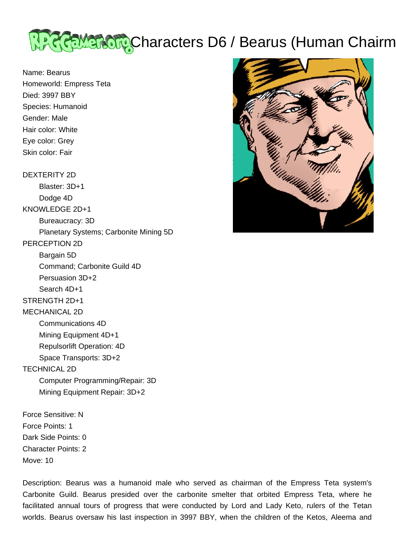

Name: Bearus Homeworld: Empress Teta Died: 3997 BBY Species: Humanoid Gender: Male Hair color: White Eye color: Grey Skin color: Fair

## DEXTERITY 2D

 Blaster: 3D+1 Dodge 4D KNOWLEDGE 2D+1 Bureaucracy: 3D Planetary Systems; Carbonite Mining 5D PERCEPTION 2D Bargain 5D Command; Carbonite Guild 4D Persuasion 3D+2 Search 4D+1 STRENGTH 2D+1 MECHANICAL 2D Communications 4D Mining Equipment 4D+1 Repulsorlift Operation: 4D Space Transports: 3D+2 TECHNICAL 2D Computer Programming/Repair: 3D Mining Equipment Repair: 3D+2 Force Sensitive: N

Force Points: 1 Dark Side Points: 0 Character Points: 2 Move: 10

Description: Bearus was a humanoid male who served as chairman of the Empress Teta system's Carbonite Guild. Bearus presided over the carbonite smelter that orbited Empress Teta, where he facilitated annual tours of progress that were conducted by Lord and Lady Keto, rulers of the Tetan worlds. Bearus oversaw his last inspection in 3997 BBY, when the children of the Ketos, Aleema and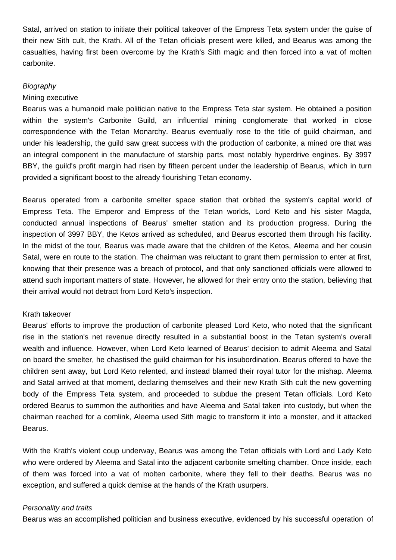Satal, arrived on station to initiate their political takeover of the Empress Teta system under the guise of their new Sith cult, the Krath. All of the Tetan officials present were killed, and Bearus was among the casualties, having first been overcome by the Krath's Sith magic and then forced into a vat of molten carbonite.

# **Biography**

## Mining executive

Bearus was a humanoid male politician native to the Empress Teta star system. He obtained a position within the system's Carbonite Guild, an influential mining conglomerate that worked in close correspondence with the Tetan Monarchy. Bearus eventually rose to the title of guild chairman, and under his leadership, the guild saw great success with the production of carbonite, a mined ore that was an integral component in the manufacture of starship parts, most notably hyperdrive engines. By 3997 BBY, the guild's profit margin had risen by fifteen percent under the leadership of Bearus, which in turn provided a significant boost to the already flourishing Tetan economy.

Bearus operated from a carbonite smelter space station that orbited the system's capital world of Empress Teta. The Emperor and Empress of the Tetan worlds, Lord Keto and his sister Magda, conducted annual inspections of Bearus' smelter station and its production progress. During the inspection of 3997 BBY, the Ketos arrived as scheduled, and Bearus escorted them through his facility. In the midst of the tour, Bearus was made aware that the children of the Ketos, Aleema and her cousin Satal, were en route to the station. The chairman was reluctant to grant them permission to enter at first, knowing that their presence was a breach of protocol, and that only sanctioned officials were allowed to attend such important matters of state. However, he allowed for their entry onto the station, believing that their arrival would not detract from Lord Keto's inspection.

## Krath takeover

Bearus' efforts to improve the production of carbonite pleased Lord Keto, who noted that the significant rise in the station's net revenue directly resulted in a substantial boost in the Tetan system's overall wealth and influence. However, when Lord Keto learned of Bearus' decision to admit Aleema and Satal on board the smelter, he chastised the guild chairman for his insubordination. Bearus offered to have the children sent away, but Lord Keto relented, and instead blamed their royal tutor for the mishap. Aleema and Satal arrived at that moment, declaring themselves and their new Krath Sith cult the new governing body of the Empress Teta system, and proceeded to subdue the present Tetan officials. Lord Keto ordered Bearus to summon the authorities and have Aleema and Satal taken into custody, but when the chairman reached for a comlink, Aleema used Sith magic to transform it into a monster, and it attacked Bearus.

With the Krath's violent coup underway, Bearus was among the Tetan officials with Lord and Lady Keto who were ordered by Aleema and Satal into the adjacent carbonite smelting chamber. Once inside, each of them was forced into a vat of molten carbonite, where they fell to their deaths. Bearus was no exception, and suffered a quick demise at the hands of the Krath usurpers.

### Personality and traits

Bearus was an accomplished politician and business executive, evidenced by his successful operation of